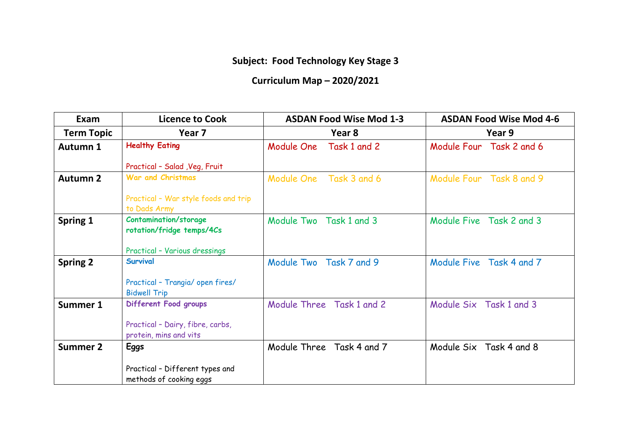## **Subject: Food Technology Key Stage 3**

## **Curriculum Map – 2020/2021**

| Exam              | <b>Licence to Cook</b>                                     | <b>ASDAN Food Wise Mod 1-3</b> | <b>ASDAN Food Wise Mod 4-6</b> |
|-------------------|------------------------------------------------------------|--------------------------------|--------------------------------|
| <b>Term Topic</b> | Year 7                                                     | Year 8                         | Year 9                         |
| <b>Autumn 1</b>   | <b>Healthy Eating</b>                                      | Module One<br>Task 1 and 2     | Module Four Task 2 and 6       |
|                   | Practical - Salad , Veg, Fruit                             |                                |                                |
| <b>Autumn 2</b>   | <b>War and Christmas</b>                                   | Module One Task 3 and 6        | Module Four Task 8 and 9       |
|                   | Practical - War style foods and trip<br>to Dads Army       |                                |                                |
| Spring 1          | <b>Contamination/storage</b><br>rotation/fridge temps/4Cs  | Module Two<br>Task 1 and 3     | Module Five Task 2 and 3       |
|                   | Practical - Various dressings                              |                                |                                |
| <b>Spring 2</b>   | Survival                                                   | Module Two Task 7 and 9        | Module Five Task 4 and 7       |
|                   | Practical - Trangia/ open fires/<br><b>Bidwell Trip</b>    |                                |                                |
| <b>Summer 1</b>   | Different Food groups                                      | Module Three Task 1 and 2      | Module Six Task 1 and 3        |
|                   | Practical - Dairy, fibre, carbs,<br>protein, mins and vits |                                |                                |
| <b>Summer 2</b>   | <b>Eggs</b>                                                | Module Three Task 4 and 7      | Module Six Task 4 and 8        |
|                   | Practical - Different types and<br>methods of cooking eggs |                                |                                |